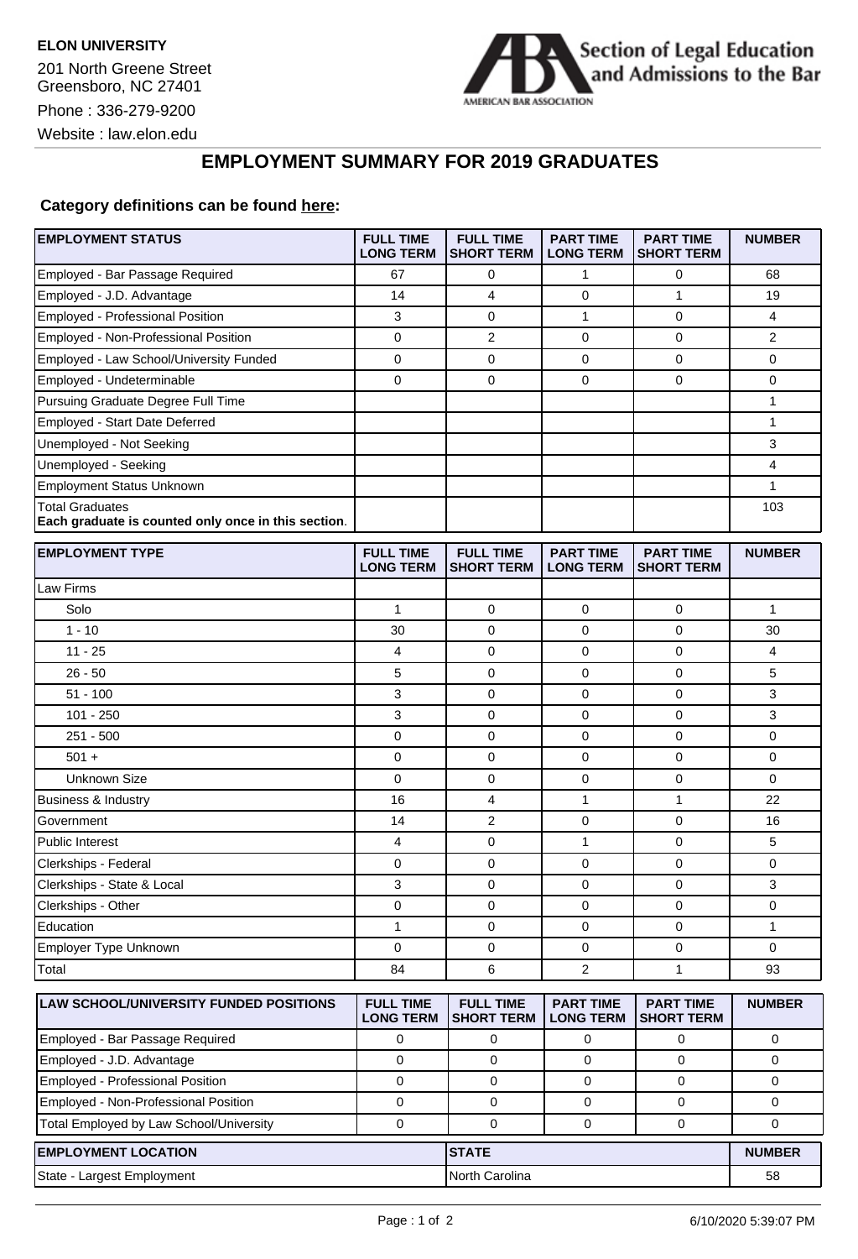

Website : law.elon.edu

## **EMPLOYMENT SUMMARY FOR 2019 GRADUATES**

## **Category definitions can be found [here:](https://www.americanbar.org/content/dam/aba/administrative/legal_education_and_admissions_to_the_bar/Questionnaires/2020employmentquestionnaire/2020-aba-employment-protocols-class-of-2019.pdf)**

| <b>EMPLOYMENT STATUS</b>                                                      | <b>FULL TIME</b><br><b>LONG TERM</b> | <b>FULL TIME</b><br><b>SHORT TERM</b> | <b>PART TIME</b><br><b>LONG TERM</b> | <b>PART TIME</b><br><b>SHORT TERM</b> | <b>NUMBER</b>  |
|-------------------------------------------------------------------------------|--------------------------------------|---------------------------------------|--------------------------------------|---------------------------------------|----------------|
| Employed - Bar Passage Required                                               | 67                                   | 0                                     | 1                                    | 0                                     | 68             |
| Employed - J.D. Advantage                                                     | 14                                   | 4                                     | 0                                    | $\mathbf{1}$                          | 19             |
| Employed - Professional Position                                              | 3                                    | $\mathbf 0$                           | $\mathbf{1}$                         | $\mathbf 0$                           | 4              |
| Employed - Non-Professional Position                                          | 0                                    | $\overline{2}$                        | 0                                    | 0                                     | $\overline{2}$ |
| Employed - Law School/University Funded                                       | 0                                    | $\mathbf 0$                           | 0                                    | $\mathbf 0$                           | 0              |
| Employed - Undeterminable                                                     | 0                                    | $\mathbf 0$                           | 0                                    | $\mathbf 0$                           | 0              |
| Pursuing Graduate Degree Full Time                                            |                                      |                                       |                                      |                                       | 1              |
| Employed - Start Date Deferred                                                |                                      |                                       |                                      |                                       | 1              |
| Unemployed - Not Seeking                                                      |                                      |                                       |                                      |                                       | 3              |
| Unemployed - Seeking                                                          |                                      |                                       |                                      |                                       | 4              |
| <b>Employment Status Unknown</b>                                              |                                      |                                       |                                      |                                       | 1              |
| <b>Total Graduates</b><br>Each graduate is counted only once in this section. |                                      |                                       |                                      |                                       | 103            |
| <b>EMPLOYMENT TYPE</b>                                                        | <b>FULL TIME</b><br><b>LONG TERM</b> | <b>FULL TIME</b><br><b>SHORT TERM</b> | <b>PART TIME</b><br><b>LONG TERM</b> | <b>PART TIME</b><br><b>SHORT TERM</b> | <b>NUMBER</b>  |
| Law Firms                                                                     |                                      |                                       |                                      |                                       |                |
| Solo                                                                          | 1                                    | $\mathbf 0$                           | $\mathbf 0$                          | $\mathbf 0$                           | $\mathbf{1}$   |
| $1 - 10$                                                                      | 30                                   | 0                                     | 0                                    | 0                                     | 30             |
| $11 - 25$                                                                     | 4                                    | $\mathbf 0$                           | 0                                    | $\mathbf 0$                           | 4              |
| $26 - 50$                                                                     | 5                                    | 0                                     | 0                                    | $\mathbf 0$                           | 5              |
| $51 - 100$                                                                    | 3                                    | 0                                     | 0                                    | $\mathbf 0$                           | 3              |
| 101 - 250                                                                     | 3                                    | $\mathbf 0$                           | 0                                    | 0                                     | 3              |
| $251 - 500$                                                                   | 0                                    | $\mathbf 0$                           | 0                                    | $\mathbf 0$                           | 0              |
| $501 +$                                                                       | 0                                    | $\mathbf 0$                           | 0                                    | $\mathbf 0$                           | 0              |
| Unknown Size                                                                  | 0                                    | $\mathbf 0$                           | 0                                    | $\mathbf 0$                           | 0              |
| <b>Business &amp; Industry</b>                                                | 16                                   | 4                                     | 1                                    | $\mathbf{1}$                          | 22             |
| Government                                                                    | 14                                   | 2                                     | 0                                    | $\mathbf 0$                           | 16             |
| <b>Public Interest</b>                                                        | 4                                    | $\mathbf 0$                           | 1                                    | $\mathbf 0$                           | 5              |
| Clerkships - Federal                                                          | 0                                    | $\mathbf 0$                           | 0                                    | $\mathbf 0$                           | 0              |
| Clerkships - State & Local                                                    | 3                                    | 0                                     | 0                                    | $\mathbf 0$                           | 3              |
| Clerkships - Other                                                            | 0                                    | 0                                     | 0                                    | 0                                     | 0              |
| Education                                                                     | 1                                    | 0                                     | 0                                    | 0                                     | 1              |
| Employer Type Unknown                                                         | 0                                    | 0                                     | 0                                    | 0                                     | 0              |
| Total                                                                         | 84                                   | 6                                     | $\overline{2}$                       | $\mathbf{1}$                          | 93             |
| LAW SCHOOL/UNIVERSITY FUNDED POSITIONS                                        | <b>FULL TIME</b><br><b>LONG TERM</b> | <b>FULL TIME</b><br><b>SHORT TERM</b> | <b>PART TIME</b><br><b>LONG TERM</b> | <b>PART TIME</b><br><b>SHORT TERM</b> | <b>NUMBER</b>  |
| Employed - Bar Passage Required                                               | 0                                    | 0                                     | 0                                    | 0                                     | 0              |
| Employed - J.D. Advantage                                                     | $\mathbf 0$                          | 0                                     | 0                                    | 0                                     | 0              |
| Employed - Professional Position                                              | 0                                    | 0                                     | 0                                    | 0                                     | 0              |
| Employed - Non-Professional Position                                          | 0                                    | $\mathbf 0$                           | 0                                    | 0                                     | 0              |
| Total Employed by Law School/University                                       | 0                                    | 0                                     | 0                                    | 0                                     | 0              |
| <b>EMPLOYMENT LOCATION</b>                                                    |                                      | <b>STATE</b>                          |                                      |                                       | <b>NUMBER</b>  |
| State - Largest Employment                                                    |                                      | North Carolina                        |                                      |                                       | 58             |
|                                                                               |                                      |                                       |                                      |                                       |                |